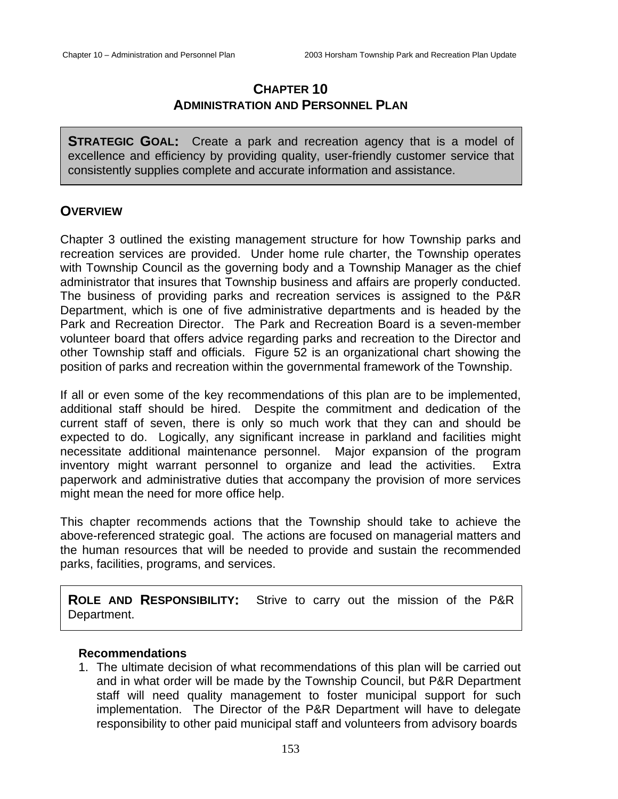# **CHAPTER 10 ADMINISTRATION AND PERSONNEL PLAN**

**STRATEGIC GOAL:** Create a park and recreation agency that is a model of excellence and efficiency by providing quality, user-friendly customer service that consistently supplies complete and accurate information and assistance.

## **OVERVIEW**

Chapter 3 outlined the existing management structure for how Township parks and recreation services are provided. Under home rule charter, the Township operates with Township Council as the governing body and a Township Manager as the chief administrator that insures that Township business and affairs are properly conducted. The business of providing parks and recreation services is assigned to the P&R Department, which is one of five administrative departments and is headed by the Park and Recreation Director. The Park and Recreation Board is a seven-member volunteer board that offers advice regarding parks and recreation to the Director and other Township staff and officials. Figure 52 is an organizational chart showing the position of parks and recreation within the governmental framework of the Township.

If all or even some of the key recommendations of this plan are to be implemented, additional staff should be hired. Despite the commitment and dedication of the current staff of seven, there is only so much work that they can and should be expected to do. Logically, any significant increase in parkland and facilities might necessitate additional maintenance personnel. Major expansion of the program inventory might warrant personnel to organize and lead the activities. Extra paperwork and administrative duties that accompany the provision of more services might mean the need for more office help.

This chapter recommends actions that the Township should take to achieve the above-referenced strategic goal. The actions are focused on managerial matters and the human resources that will be needed to provide and sustain the recommended parks, facilities, programs, and services.

**ROLE AND RESPONSIBILITY:** Strive to carry out the mission of the P&R Department.

### **Recommendations**

1. The ultimate decision of what recommendations of this plan will be carried out and in what order will be made by the Township Council, but P&R Department staff will need quality management to foster municipal support for such implementation. The Director of the P&R Department will have to delegate responsibility to other paid municipal staff and volunteers from advisory boards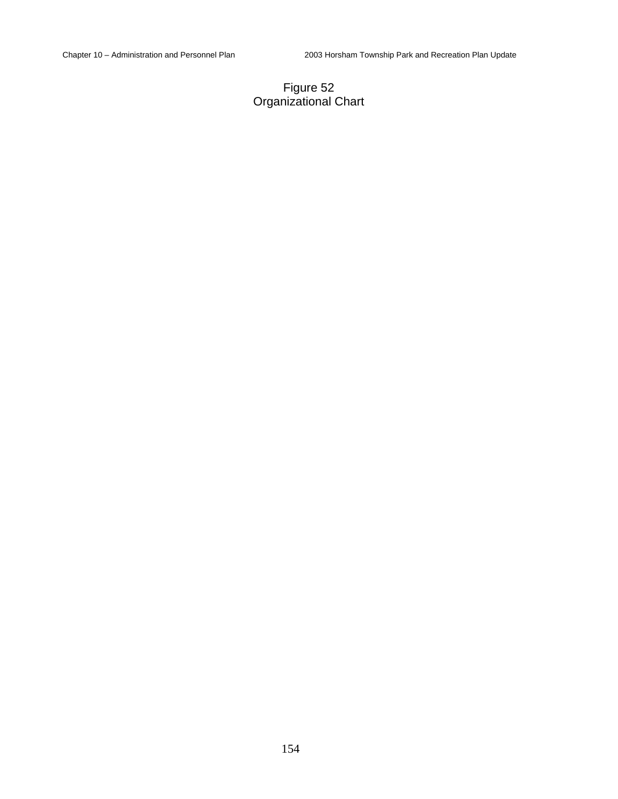### Figure 52 Organizational Chart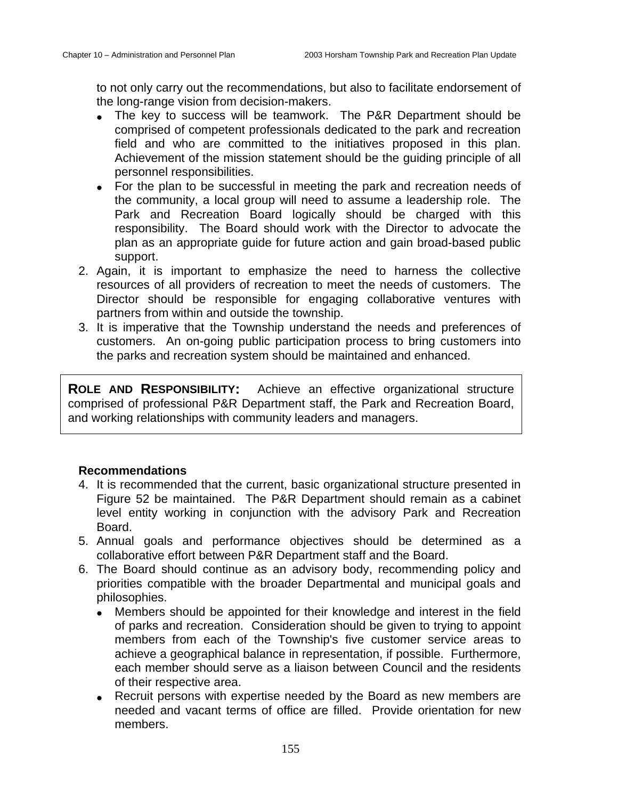to not only carry out the recommendations, but also to facilitate endorsement of the long-range vision from decision-makers.

- The key to success will be teamwork. The P&R Department should be comprised of competent professionals dedicated to the park and recreation field and who are committed to the initiatives proposed in this plan. Achievement of the mission statement should be the guiding principle of all personnel responsibilities.
- For the plan to be successful in meeting the park and recreation needs of the community, a local group will need to assume a leadership role. The Park and Recreation Board logically should be charged with this responsibility. The Board should work with the Director to advocate the plan as an appropriate guide for future action and gain broad-based public support.
- 2. Again, it is important to emphasize the need to harness the collective resources of all providers of recreation to meet the needs of customers. The Director should be responsible for engaging collaborative ventures with partners from within and outside the township.
- 3. It is imperative that the Township understand the needs and preferences of customers. An on-going public participation process to bring customers into the parks and recreation system should be maintained and enhanced.

**ROLE AND RESPONSIBILITY:** Achieve an effective organizational structure comprised of professional P&R Department staff, the Park and Recreation Board, and working relationships with community leaders and managers.

- 4. It is recommended that the current, basic organizational structure presented in Figure 52 be maintained. The P&R Department should remain as a cabinet level entity working in conjunction with the advisory Park and Recreation Board.
- 5. Annual goals and performance objectives should be determined as a collaborative effort between P&R Department staff and the Board.
- 6. The Board should continue as an advisory body, recommending policy and priorities compatible with the broader Departmental and municipal goals and philosophies.
	- Members should be appointed for their knowledge and interest in the field of parks and recreation. Consideration should be given to trying to appoint members from each of the Township's five customer service areas to achieve a geographical balance in representation, if possible. Furthermore, each member should serve as a liaison between Council and the residents of their respective area.
	- Recruit persons with expertise needed by the Board as new members are needed and vacant terms of office are filled. Provide orientation for new members.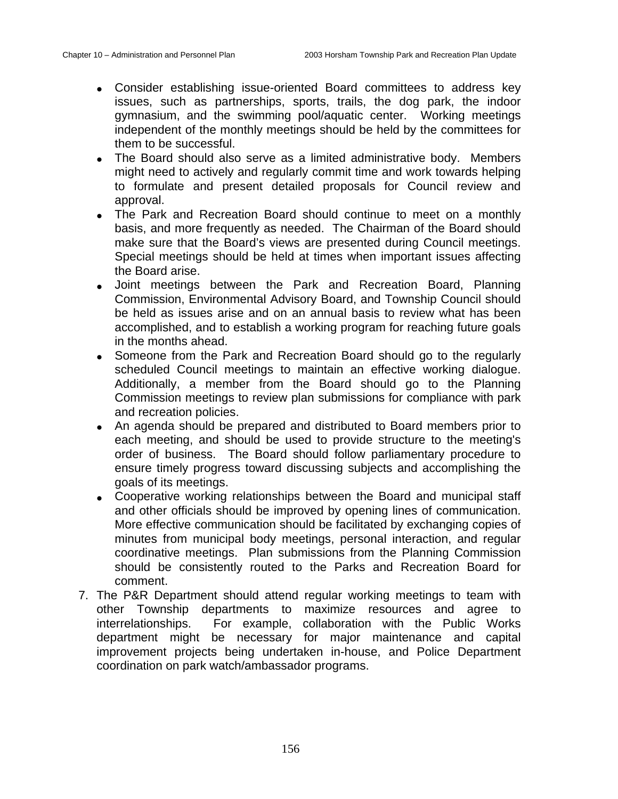- Consider establishing issue-oriented Board committees to address key issues, such as partnerships, sports, trails, the dog park, the indoor gymnasium, and the swimming pool/aquatic center. Working meetings independent of the monthly meetings should be held by the committees for them to be successful.
- The Board should also serve as a limited administrative body. Members might need to actively and regularly commit time and work towards helping to formulate and present detailed proposals for Council review and approval.
- The Park and Recreation Board should continue to meet on a monthly basis, and more frequently as needed. The Chairman of the Board should make sure that the Board's views are presented during Council meetings. Special meetings should be held at times when important issues affecting the Board arise.
- Joint meetings between the Park and Recreation Board, Planning Commission, Environmental Advisory Board, and Township Council should be held as issues arise and on an annual basis to review what has been accomplished, and to establish a working program for reaching future goals in the months ahead.
- Someone from the Park and Recreation Board should go to the regularly scheduled Council meetings to maintain an effective working dialogue. Additionally, a member from the Board should go to the Planning Commission meetings to review plan submissions for compliance with park and recreation policies.
- An agenda should be prepared and distributed to Board members prior to each meeting, and should be used to provide structure to the meeting's order of business. The Board should follow parliamentary procedure to ensure timely progress toward discussing subjects and accomplishing the goals of its meetings.
- Cooperative working relationships between the Board and municipal staff and other officials should be improved by opening lines of communication. More effective communication should be facilitated by exchanging copies of minutes from municipal body meetings, personal interaction, and regular coordinative meetings. Plan submissions from the Planning Commission should be consistently routed to the Parks and Recreation Board for comment.
- 7. The P&R Department should attend regular working meetings to team with other Township departments to maximize resources and agree to interrelationships. For example, collaboration with the Public Works department might be necessary for major maintenance and capital improvement projects being undertaken in-house, and Police Department coordination on park watch/ambassador programs.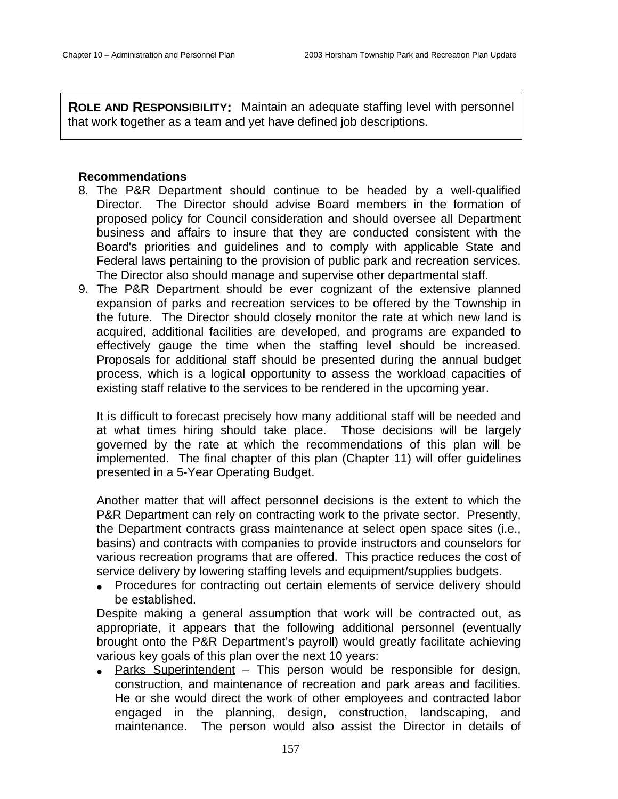**ROLE AND RESPONSIBILITY:** Maintain an adequate staffing level with personnel that work together as a team and yet have defined job descriptions.

### **Recommendations**

- 8. The P&R Department should continue to be headed by a well-qualified Director. The Director should advise Board members in the formation of proposed policy for Council consideration and should oversee all Department business and affairs to insure that they are conducted consistent with the Board's priorities and guidelines and to comply with applicable State and Federal laws pertaining to the provision of public park and recreation services. The Director also should manage and supervise other departmental staff.
- 9. The P&R Department should be ever cognizant of the extensive planned expansion of parks and recreation services to be offered by the Township in the future. The Director should closely monitor the rate at which new land is acquired, additional facilities are developed, and programs are expanded to effectively gauge the time when the staffing level should be increased. Proposals for additional staff should be presented during the annual budget process, which is a logical opportunity to assess the workload capacities of existing staff relative to the services to be rendered in the upcoming year.

It is difficult to forecast precisely how many additional staff will be needed and at what times hiring should take place. Those decisions will be largely governed by the rate at which the recommendations of this plan will be implemented. The final chapter of this plan (Chapter 11) will offer guidelines presented in a 5-Year Operating Budget.

Another matter that will affect personnel decisions is the extent to which the P&R Department can rely on contracting work to the private sector. Presently, the Department contracts grass maintenance at select open space sites (i.e., basins) and contracts with companies to provide instructors and counselors for various recreation programs that are offered. This practice reduces the cost of service delivery by lowering staffing levels and equipment/supplies budgets.

• Procedures for contracting out certain elements of service delivery should be established.

Despite making a general assumption that work will be contracted out, as appropriate, it appears that the following additional personnel (eventually brought onto the P&R Department's payroll) would greatly facilitate achieving various key goals of this plan over the next 10 years:

• Parks Superintendent – This person would be responsible for design, construction, and maintenance of recreation and park areas and facilities. He or she would direct the work of other employees and contracted labor engaged in the planning, design, construction, landscaping, and maintenance. The person would also assist the Director in details of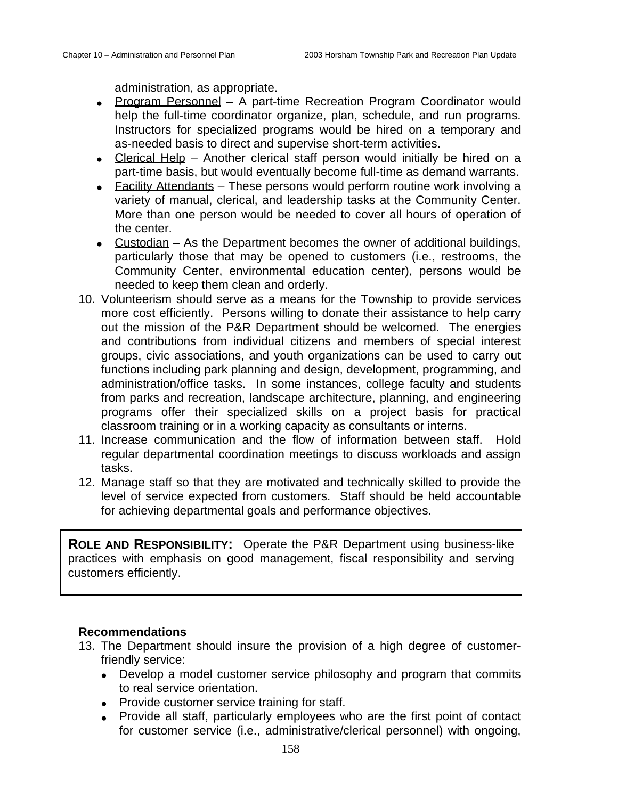administration, as appropriate.

- Program Personnel A part-time Recreation Program Coordinator would help the full-time coordinator organize, plan, schedule, and run programs. Instructors for specialized programs would be hired on a temporary and as-needed basis to direct and supervise short-term activities.
- Clerical Help Another clerical staff person would initially be hired on a part-time basis, but would eventually become full-time as demand warrants.
- Facility Attendants These persons would perform routine work involving a variety of manual, clerical, and leadership tasks at the Community Center. More than one person would be needed to cover all hours of operation of the center.
- Custodian As the Department becomes the owner of additional buildings, particularly those that may be opened to customers (i.e., restrooms, the Community Center, environmental education center), persons would be needed to keep them clean and orderly.
- 10. Volunteerism should serve as a means for the Township to provide services more cost efficiently. Persons willing to donate their assistance to help carry out the mission of the P&R Department should be welcomed. The energies and contributions from individual citizens and members of special interest groups, civic associations, and youth organizations can be used to carry out functions including park planning and design, development, programming, and administration/office tasks. In some instances, college faculty and students from parks and recreation, landscape architecture, planning, and engineering programs offer their specialized skills on a project basis for practical classroom training or in a working capacity as consultants or interns.
- 11. Increase communication and the flow of information between staff. Hold regular departmental coordination meetings to discuss workloads and assign tasks.
- 12. Manage staff so that they are motivated and technically skilled to provide the level of service expected from customers. Staff should be held accountable for achieving departmental goals and performance objectives.

**ROLE AND RESPONSIBILITY:** Operate the P&R Department using business-like practices with emphasis on good management, fiscal responsibility and serving customers efficiently.

- 13. The Department should insure the provision of a high degree of customerfriendly service:
	- Develop a model customer service philosophy and program that commits to real service orientation.
	- Provide customer service training for staff.
	- Provide all staff, particularly employees who are the first point of contact for customer service (i.e., administrative/clerical personnel) with ongoing,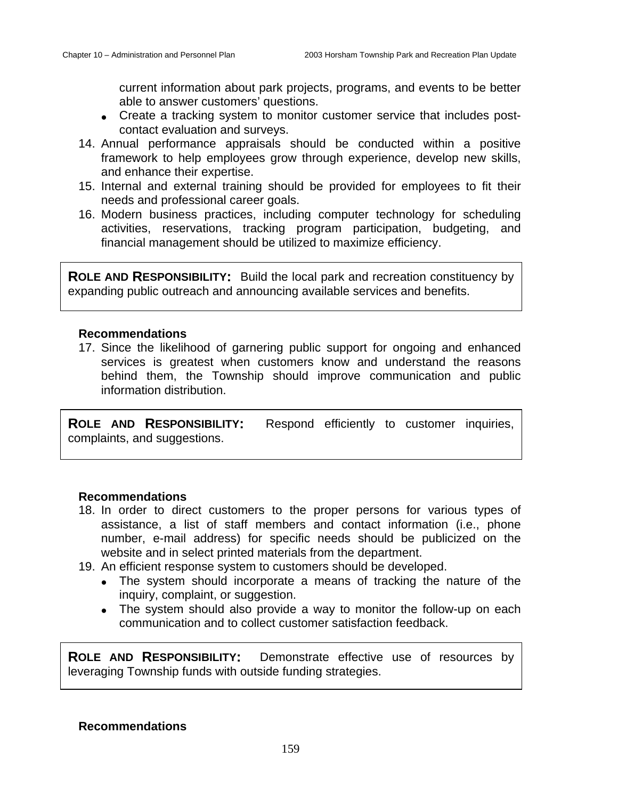current information about park projects, programs, and events to be better able to answer customers' questions.

- Create a tracking system to monitor customer service that includes postcontact evaluation and surveys.
- 14. Annual performance appraisals should be conducted within a positive framework to help employees grow through experience, develop new skills, and enhance their expertise.
- 15. Internal and external training should be provided for employees to fit their needs and professional career goals.
- 16. Modern business practices, including computer technology for scheduling activities, reservations, tracking program participation, budgeting, and financial management should be utilized to maximize efficiency.

**ROLE AND RESPONSIBILITY:** Build the local park and recreation constituency by expanding public outreach and announcing available services and benefits.

#### **Recommendations**

17. Since the likelihood of garnering public support for ongoing and enhanced services is greatest when customers know and understand the reasons behind them, the Township should improve communication and public information distribution.

**ROLE AND RESPONSIBILITY:** Respond efficiently to customer inquiries, complaints, and suggestions.

### **Recommendations**

- 18. In order to direct customers to the proper persons for various types of assistance, a list of staff members and contact information (i.e., phone number, e-mail address) for specific needs should be publicized on the website and in select printed materials from the department.
- 19. An efficient response system to customers should be developed.
	- The system should incorporate a means of tracking the nature of the inquiry, complaint, or suggestion.
	- The system should also provide a way to monitor the follow-up on each communication and to collect customer satisfaction feedback.

**ROLE AND RESPONSIBILITY:** Demonstrate effective use of resources by leveraging Township funds with outside funding strategies.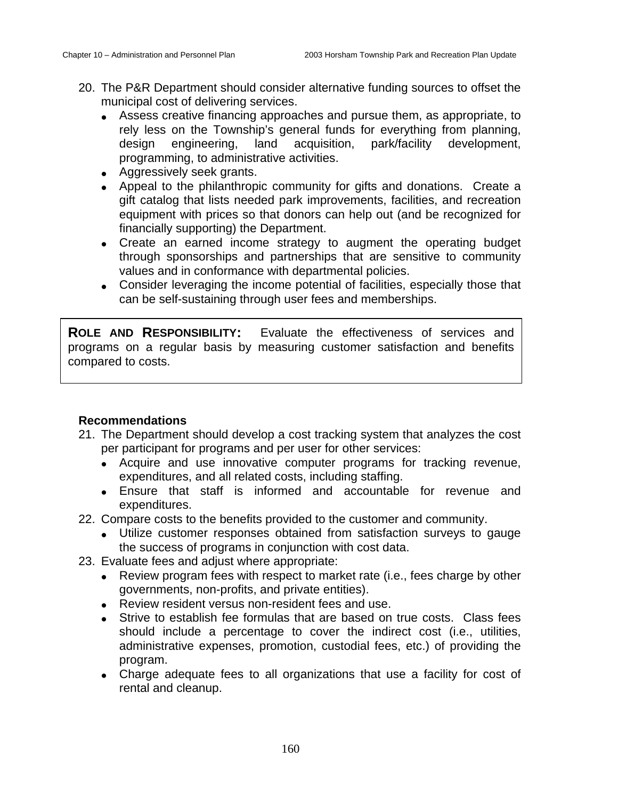- 20. The P&R Department should consider alternative funding sources to offset the municipal cost of delivering services.
	- Assess creative financing approaches and pursue them, as appropriate, to rely less on the Township's general funds for everything from planning, design engineering, land acquisition, park/facility development, programming, to administrative activities.
	- Aggressively seek grants.
	- Appeal to the philanthropic community for gifts and donations. Create a gift catalog that lists needed park improvements, facilities, and recreation equipment with prices so that donors can help out (and be recognized for financially supporting) the Department.
	- Create an earned income strategy to augment the operating budget through sponsorships and partnerships that are sensitive to community values and in conformance with departmental policies.
	- Consider leveraging the income potential of facilities, especially those that can be self-sustaining through user fees and memberships.

**ROLE AND RESPONSIBILITY:** Evaluate the effectiveness of services and programs on a regular basis by measuring customer satisfaction and benefits compared to costs.

- 21. The Department should develop a cost tracking system that analyzes the cost per participant for programs and per user for other services:
	- Acquire and use innovative computer programs for tracking revenue, expenditures, and all related costs, including staffing.
	- Ensure that staff is informed and accountable for revenue and expenditures.
- 22. Compare costs to the benefits provided to the customer and community.
	- Utilize customer responses obtained from satisfaction surveys to gauge the success of programs in conjunction with cost data.
- 23. Evaluate fees and adjust where appropriate:
	- Review program fees with respect to market rate (i.e., fees charge by other governments, non-profits, and private entities).
	- Review resident versus non-resident fees and use.
	- Strive to establish fee formulas that are based on true costs. Class fees should include a percentage to cover the indirect cost (i.e., utilities, administrative expenses, promotion, custodial fees, etc.) of providing the program.
	- Charge adequate fees to all organizations that use a facility for cost of rental and cleanup.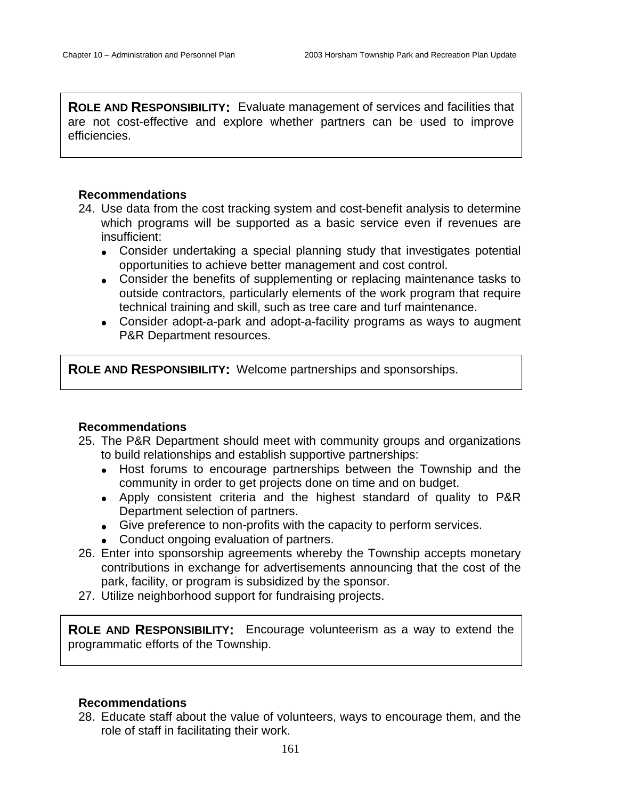**ROLE AND RESPONSIBILITY:** Evaluate management of services and facilities that are not cost-effective and explore whether partners can be used to improve efficiencies.

#### **Recommendations**

- 24. Use data from the cost tracking system and cost-benefit analysis to determine which programs will be supported as a basic service even if revenues are insufficient:
	- Consider undertaking a special planning study that investigates potential opportunities to achieve better management and cost control.
	- Consider the benefits of supplementing or replacing maintenance tasks to outside contractors, particularly elements of the work program that require technical training and skill, such as tree care and turf maintenance.
	- Consider adopt-a-park and adopt-a-facility programs as ways to augment P&R Department resources.

**ROLE AND RESPONSIBILITY:** Welcome partnerships and sponsorships.

### **Recommendations**

- 25. The P&R Department should meet with community groups and organizations to build relationships and establish supportive partnerships:
	- Host forums to encourage partnerships between the Township and the community in order to get projects done on time and on budget.
	- Apply consistent criteria and the highest standard of quality to P&R Department selection of partners.
	- Give preference to non-profits with the capacity to perform services.
	- Conduct ongoing evaluation of partners.
- 26. Enter into sponsorship agreements whereby the Township accepts monetary contributions in exchange for advertisements announcing that the cost of the park, facility, or program is subsidized by the sponsor.
- 27. Utilize neighborhood support for fundraising projects.

**ROLE AND RESPONSIBILITY:** Encourage volunteerism as a way to extend the programmatic efforts of the Township.

#### **Recommendations**

28. Educate staff about the value of volunteers, ways to encourage them, and the role of staff in facilitating their work.